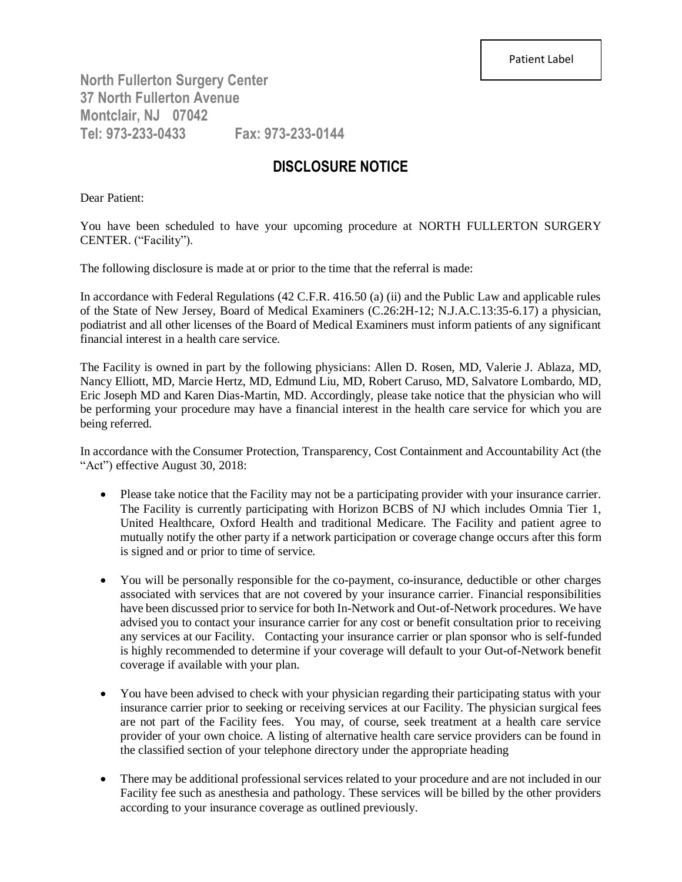**North Fullerton Surgery Center 37 North Fullerton Avenue Montclair, NJ 07042 Tel: 973-233-0433 Fax: 973-233-0144**

## **DISCLOSURE NOTICE**

Dear Patient:

You have been scheduled to have your upcoming procedure at NORTH FULLERTON SURGERY CENTER. ("Facility").

The following disclosure is made at or prior to the time that the referral is made:

In accordance with Federal Regulations (42 C.F.R. 416.50 (a) (ii) and the Public Law and applicable rules of the State of New Jersey, Board of Medical Examiners (C.26:2H-12; N.J.A.C.13:35-6.17) a physician, podiatrist and all other licenses of the Board of Medical Examiners must inform patients of any significant financial interest in a health care service.

The Facility is owned in part by the following physicians: Allen D. Rosen, MD, Valerie J. Ablaza, MD, Nancy Elliott, MD, Marcie Hertz, MD, Edmund Liu, MD, Robert Caruso, MD, Salvatore Lombardo, MD, Eric Joseph MD and Karen Dias-Martin, MD. Accordingly, please take notice that the physician who will be performing your procedure may have a financial interest in the health care service for which you are being referred.

In accordance with the Consumer Protection, Transparency, Cost Containment and Accountability Act (the "Act") effective August 30, 2018:

- Please take notice that the Facility may not be a participating provider with your insurance carrier. The Facility is currently participating with Horizon BCBS of NJ which includes Omnia Tier 1, United Healthcare, Oxford Health and traditional Medicare. The Facility and patient agree to mutually notify the other party if a network participation or coverage change occurs after this form is signed and or prior to time of service.
- You will be personally responsible for the co-payment, co-insurance, deductible or other charges associated with services that are not covered by your insurance carrier. Financial responsibilities have been discussed prior to service for both In-Network and Out-of-Network procedures. We have advised you to contact your insurance carrier for any cost or benefit consultation prior to receiving any services at our Facility. Contacting your insurance carrier or plan sponsor who is self-funded is highly recommended to determine if your coverage will default to your Out-of-Network benefit coverage if available with your plan.
- You have been advised to check with your physician regarding their participating status with your insurance carrier prior to seeking or receiving services at our Facility. The physician surgical fees are not part of the Facility fees. You may, of course, seek treatment at a health care service provider of your own choice. A listing of alternative health care service providers can be found in the classified section of your telephone directory under the appropriate heading
- There may be additional professional services related to your procedure and are not included in our Facility fee such as anesthesia and pathology. These services will be billed by the other providers according to your insurance coverage as outlined previously.